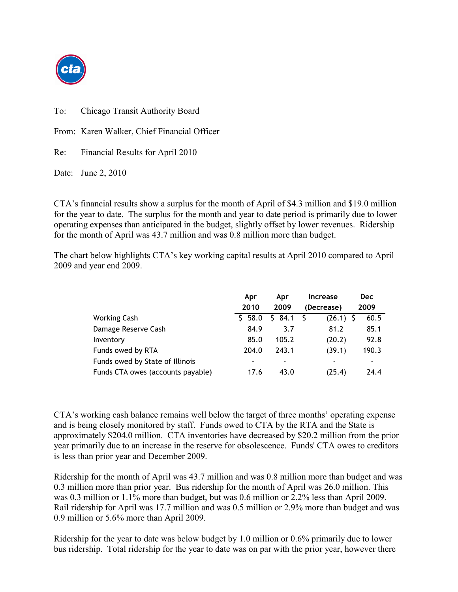

To: Chicago Transit Authority Board

From: Karen Walker, Chief Financial Officer

Re: Financial Results for April 2010

Date: June 2, 2010

CTA's financial results show a surplus for the month of April of \$4.3 million and \$19.0 million for the year to date. The surplus for the month and year to date period is primarily due to lower operating expenses than anticipated in the budget, slightly offset by lower revenues. Ridership for the month of April was 43.7 million and was 0.8 million more than budget.

The chart below highlights CTA's key working capital results at April 2010 compared to April 2009 and year end 2009.

|                                   | Apr        | Apr        | <b>Increase</b> | <b>Dec</b> |
|-----------------------------------|------------|------------|-----------------|------------|
|                                   | 2010       | 2009       | (Decrease)      | 2009       |
| <b>Working Cash</b>               | 58.0<br>S. | 84.1<br>S. | $(26.1)$ \$     | 60.5       |
| Damage Reserve Cash               | 84.9       | 3.7        | 81.2            | 85.1       |
| Inventory                         | 85.0       | 105.2      | (20.2)          | 92.8       |
| Funds owed by RTA                 | 204.0      | 243.1      | (39.1)          | 190.3      |
| Funds owed by State of Illinois   |            | ۰          |                 | ۰          |
| Funds CTA owes (accounts payable) | 17.6       | 43.0       | (25.4)          | 24.4       |

CTA's working cash balance remains well below the target of three months' operating expense and is being closely monitored by staff. Funds owed to CTA by the RTA and the State is approximately \$204.0 million. CTA inventories have decreased by \$20.2 million from the prior year primarily due to an increase in the reserve for obsolescence. Funds' CTA owes to creditors is less than prior year and December 2009.

Ridership for the month of April was 43.7 million and was 0.8 million more than budget and was 0.3 million more than prior year. Bus ridership for the month of April was 26.0 million. This was 0.3 million or 1.1% more than budget, but was 0.6 million or 2.2% less than April 2009. Rail ridership for April was 17.7 million and was 0.5 million or 2.9% more than budget and was 0.9 million or 5.6% more than April 2009.

Ridership for the year to date was below budget by 1.0 million or 0.6% primarily due to lower bus ridership. Total ridership for the year to date was on par with the prior year, however there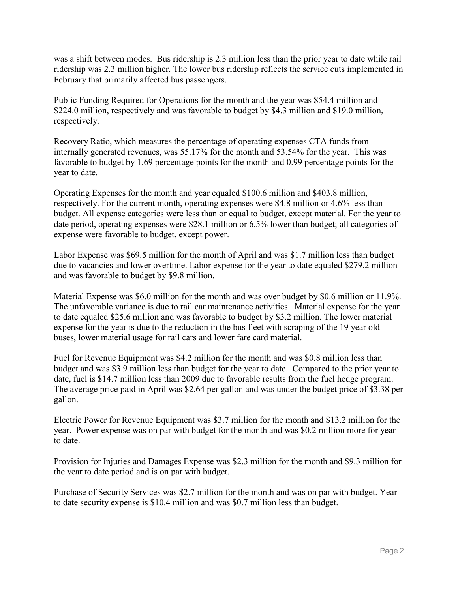was a shift between modes. Bus ridership is 2.3 million less than the prior year to date while rail ridership was 2.3 million higher. The lower bus ridership reflects the service cuts implemented in February that primarily affected bus passengers.

Public Funding Required for Operations for the month and the year was \$54.4 million and \$224.0 million, respectively and was favorable to budget by \$4.3 million and \$19.0 million, respectively.

Recovery Ratio, which measures the percentage of operating expenses CTA funds from internally generated revenues, was 55.17% for the month and 53.54% for the year. This was favorable to budget by 1.69 percentage points for the month and 0.99 percentage points for the year to date.

Operating Expenses for the month and year equaled \$100.6 million and \$403.8 million, respectively. For the current month, operating expenses were \$4.8 million or 4.6% less than budget. All expense categories were less than or equal to budget, except material. For the year to date period, operating expenses were \$28.1 million or 6.5% lower than budget; all categories of expense were favorable to budget, except power.

Labor Expense was \$69.5 million for the month of April and was \$1.7 million less than budget due to vacancies and lower overtime. Labor expense for the year to date equaled \$279.2 million and was favorable to budget by \$9.8 million.

Material Expense was \$6.0 million for the month and was over budget by \$0.6 million or 11.9%. The unfavorable variance is due to rail car maintenance activities. Material expense for the year to date equaled \$25.6 million and was favorable to budget by \$3.2 million. The lower material expense for the year is due to the reduction in the bus fleet with scraping of the 19 year old buses, lower material usage for rail cars and lower fare card material.

Fuel for Revenue Equipment was \$4.2 million for the month and was \$0.8 million less than budget and was \$3.9 million less than budget for the year to date. Compared to the prior year to date, fuel is \$14.7 million less than 2009 due to favorable results from the fuel hedge program. The average price paid in April was \$2.64 per gallon and was under the budget price of \$3.38 per gallon.

Electric Power for Revenue Equipment was \$3.7 million for the month and \$13.2 million for the year. Power expense was on par with budget for the month and was \$0.2 million more for year to date.

Provision for Injuries and Damages Expense was \$2.3 million for the month and \$9.3 million for the year to date period and is on par with budget.

Purchase of Security Services was \$2.7 million for the month and was on par with budget. Year to date security expense is \$10.4 million and was \$0.7 million less than budget.